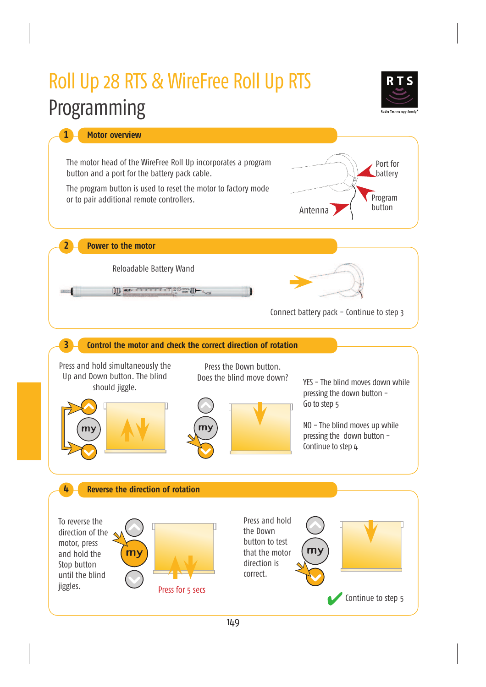

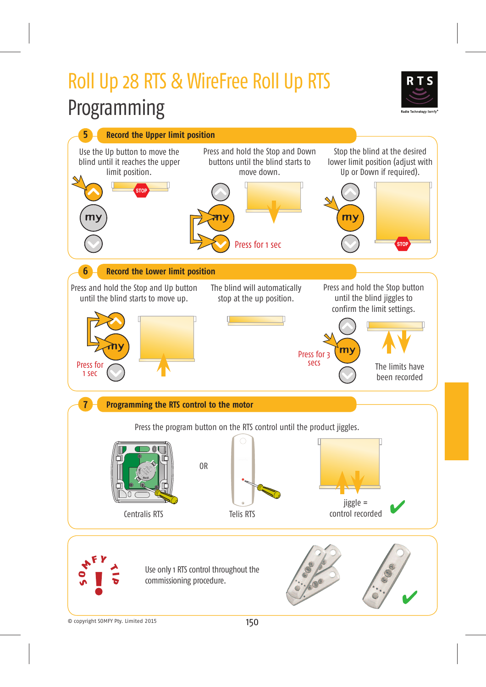

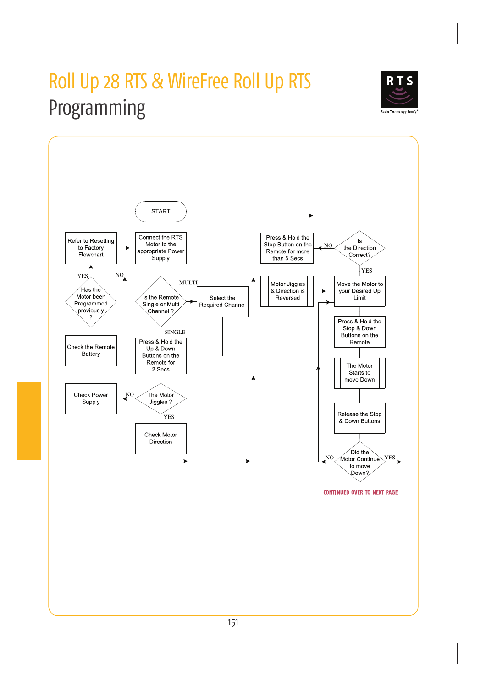

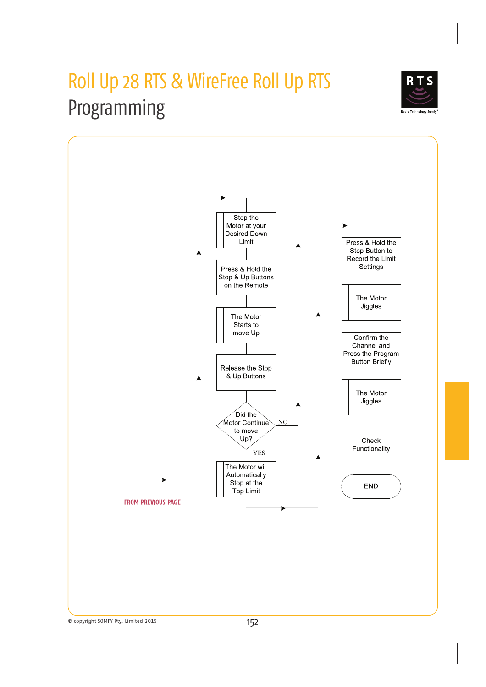

Radio Technology Somfy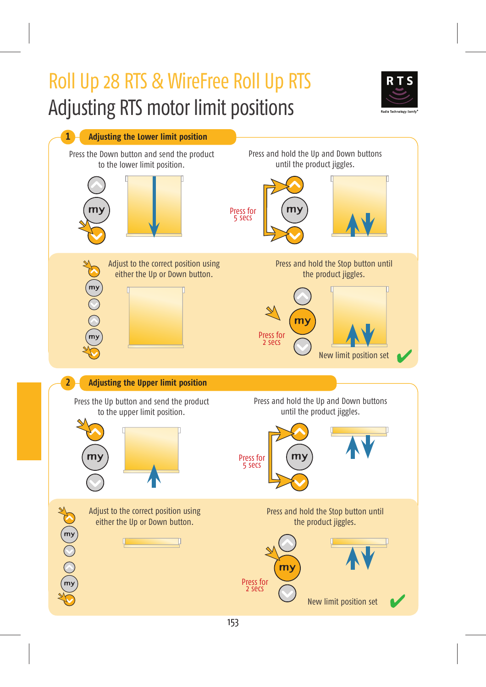# Roll Up 28 RTS & WireFree Roll Up RTS Adjusting RTS motor limit positions



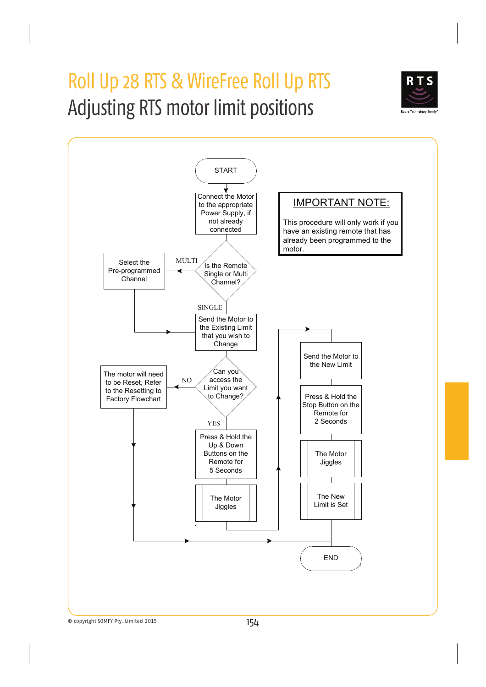## Roll Up 28 RTS & WireFree Roll Up RTS Adjusting RTS motor limit positions



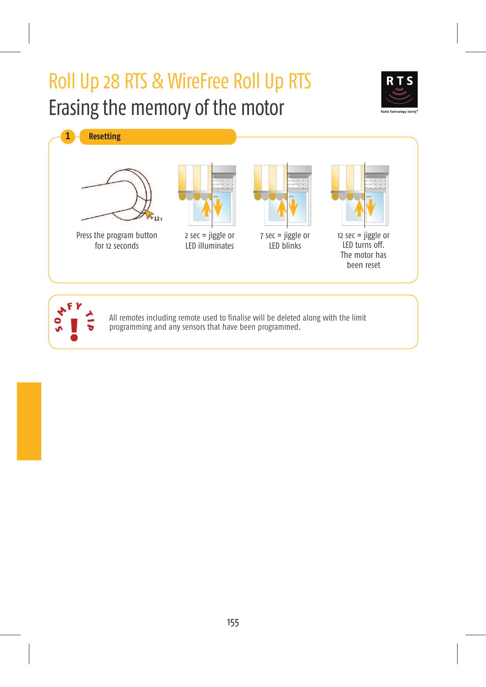## Roll Up 28 RTS & WireFree Roll Up RTS Erasing the memory of the motor





All remotes including remote used to finalise will be deleted along with the limit programming and any sensors that have been programmed.